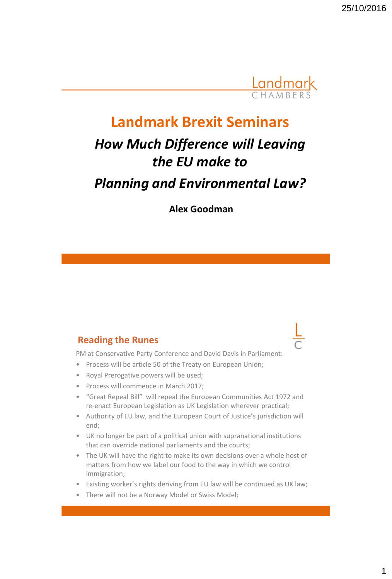

## **Landmark Brexit Seminars**

# *How Much Difference will Leaving the EU make to Planning and Environmental Law?*

**Alex Goodman**

#### **Reading the Runes**

PM at Conservative Party Conference and David Davis in Parliament:

- Process will be article 50 of the Treaty on European Union;
- Royal Prerogative powers will be used;
- Process will commence in March 2017;
- "Great Repeal Bill" will repeal the European Communities Act 1972 and re-enact European Legislation as UK Legislation wherever practical;
- Authority of EU law, and the European Court of Justice's jurisdiction will end;
- UK no longer be part of a political union with supranational institutions that can override national parliaments and the courts;
- The UK will have the right to make its own decisions over a whole host of matters from how we label our food to the way in which we control immigration;
- Existing worker's rights deriving from EU law will be continued as UK law;
- There will not be a Norway Model or Swiss Model;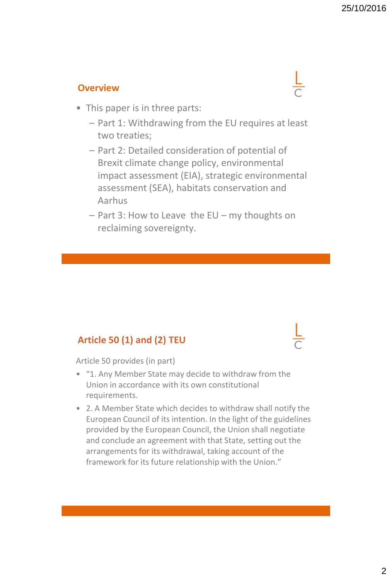#### **Overview**

- This paper is in three parts:
	- Part 1: Withdrawing from the EU requires at least two treaties;
	- Part 2: Detailed consideration of potential of Brexit climate change policy, environmental impact assessment (EIA), strategic environmental assessment (SEA), habitats conservation and Aarhus
	- Part 3: How to Leave the EU my thoughts on reclaiming sovereignty.

## **Article 50 (1) and (2) TEU**

Article 50 provides (in part)

- "1. Any Member State may decide to withdraw from the Union in accordance with its own constitutional requirements.
- 2. A Member State which decides to withdraw shall notify the European Council of its intention. In the light of the guidelines provided by the European Council, the Union shall negotiate and conclude an agreement with that State, setting out the arrangements for its withdrawal, taking account of the framework for its future relationship with the Union."

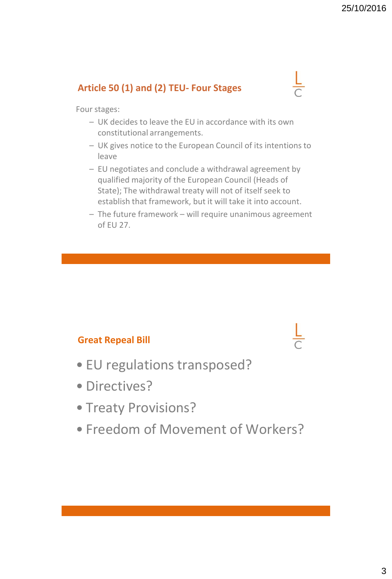## **Article 50 (1) and (2) TEU- Four Stages**

 $\frac{L}{C}$ 

Four stages:

- UK decides to leave the EU in accordance with its own constitutional arrangements.
- UK gives notice to the European Council of its intentions to leave
- EU negotiates and conclude a withdrawal agreement by qualified majority of the European Council (Heads of State); The withdrawal treaty will not of itself seek to establish that framework, but it will take it into account.
- The future framework will require unanimous agreement of EU 27.

## **Great Repeal Bill**

- EU regulations transposed?
- Directives?
- Treaty Provisions?
- Freedom of Movement of Workers?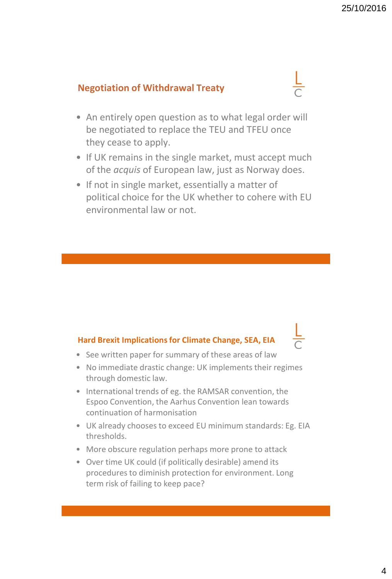### **Negotiation of Withdrawal Treaty**

- An entirely open question as to what legal order will be negotiated to replace the TEU and TFEU once they cease to apply.
- If UK remains in the single market, must accept much of the *acquis* of European law, just as Norway does.
- If not in single market, essentially a matter of political choice for the UK whether to cohere with EU environmental law or not.

#### **Hard Brexit Implications for Climate Change, SEA, EIA**

- See written paper for summary of these areas of law
- No immediate drastic change: UK implements their regimes through domestic law.
- International trends of eg. the RAMSAR convention, the Espoo Convention, the Aarhus Convention lean towards continuation of harmonisation
- UK already chooses to exceed EU minimum standards: Eg. EIA thresholds.
- More obscure regulation perhaps more prone to attack
- Over time UK could (if politically desirable) amend its procedures to diminish protection for environment. Long term risk of failing to keep pace?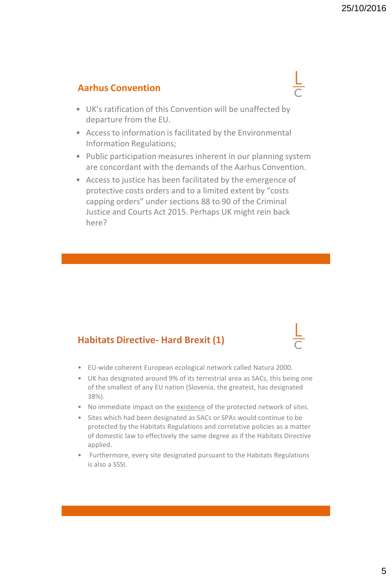#### **Aarhus Convention**

- UK's ratification of this Convention will be unaffected by departure from the EU.
- Access to information is facilitated by the Environmental Information Regulations;
- Public participation measures inherent in our planning system are concordant with the demands of the Aarhus Convention.
- Access to justice has been facilitated by the emergence of protective costs orders and to a limited extent by "costs capping orders" under sections 88 to 90 of the Criminal Justice and Courts Act 2015. Perhaps UK might rein back here?

#### **Habitats Directive- Hard Brexit (1)**

- EU-wide coherent European ecological network called Natura 2000.
- UK has designated around 9% of its terrestrial area as SACs, this being one of the smallest of any EU nation (Slovenia, the greatest, has designated 38%).
- No immediate impact on the existence of the protected network of sites.
- Sites which had been designated as SACs or SPAs would continue to be protected by the Habitats Regulations and correlative policies as a matter of domestic law to effectively the same degree as if the Habitats Directive applied.
- Furthermore, every site designated pursuant to the Habitats Regulations is also a SSSI.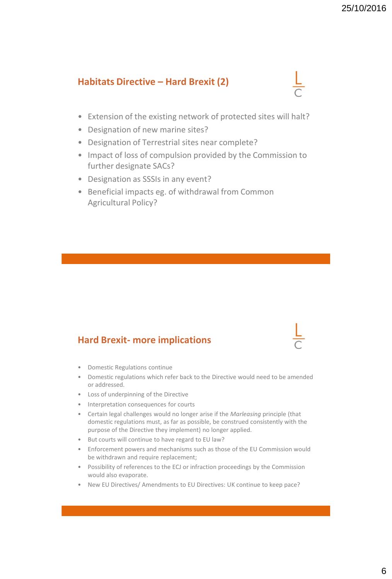#### **Habitats Directive – Hard Brexit (2)**

- Extension of the existing network of protected sites will halt?
- Designation of new marine sites?
- Designation of Terrestrial sites near complete?
- Impact of loss of compulsion provided by the Commission to further designate SACs?
- Designation as SSSIs in any event?
- Beneficial impacts eg. of withdrawal from Common Agricultural Policy?

#### **Hard Brexit- more implications**

- Domestic Regulations continue
- Domestic regulations which refer back to the Directive would need to be amended or addressed.
- Loss of underpinning of the Directive
- Interpretation consequences for courts
- Certain legal challenges would no longer arise if the *Marleasing* principle (that domestic regulations must, as far as possible, be construed consistently with the purpose of the Directive they implement) no longer applied.
- But courts will continue to have regard to EU law?
- Enforcement powers and mechanisms such as those of the EU Commission would be withdrawn and require replacement;
- Possibility of references to the ECJ or infraction proceedings by the Commission would also evaporate.
- New EU Directives/ Amendments to EU Directives: UK continue to keep pace?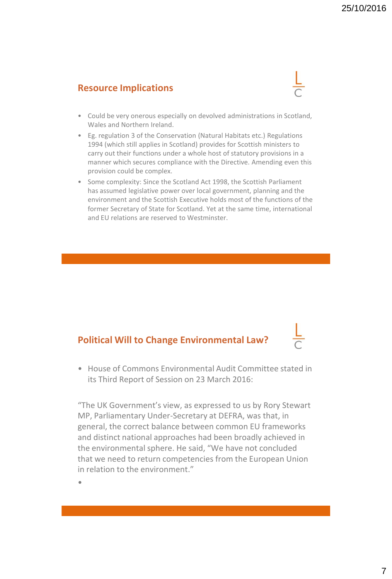#### **Resource Implications**



- Could be very onerous especially on devolved administrations in Scotland, Wales and Northern Ireland.
- Eg. regulation 3 of the Conservation (Natural Habitats etc.) Regulations 1994 (which still applies in Scotland) provides for Scottish ministers to carry out their functions under a whole host of statutory provisions in a manner which secures compliance with the Directive. Amending even this provision could be complex.
- Some complexity: Since the Scotland Act 1998, the Scottish Parliament has assumed legislative power over local government, planning and the environment and the Scottish Executive holds most of the functions of the former Secretary of State for Scotland. Yet at the same time, international and EU relations are reserved to Westminster.

## **Political Will to Change Environmental Law?**

• House of Commons Environmental Audit Committee stated in its Third Report of Session on 23 March 2016:

"The UK Government's view, as expressed to us by Rory Stewart MP, Parliamentary Under-Secretary at DEFRA, was that, in general, the correct balance between common EU frameworks and distinct national approaches had been broadly achieved in the environmental sphere. He said, "We have not concluded that we need to return competencies from the European Union in relation to the environment."

•